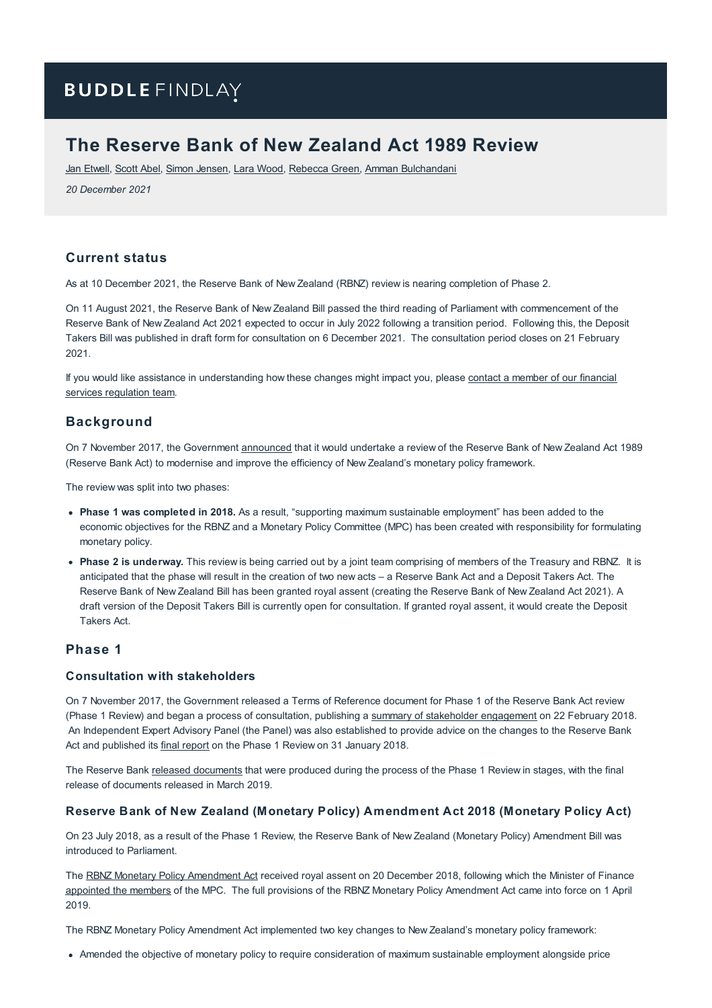# **BUDDLE FINDLAY**

# **The Reserve Bank of New Zealand Act 1989 Review**

Jan [Etwell](https://www.buddlefindlay.com/people/jan-etwell/), [Scott](https://www.buddlefindlay.com/people/scott-abel/) Abel, Simon [Jensen](https://www.buddlefindlay.com/people/simon-jensen/), Lara [Wood](https://www.buddlefindlay.com/people/lara-wood/), [Rebecca](https://www.buddlefindlay.com/people/rebecca-green/) Green, Amman [Bulchandani](https://www.buddlefindlay.com/people/amman-bulchandani/)

*20 December 2021*

## **Current status**

As at 10 December 2021, the Reserve Bank of New Zealand (RBNZ) review is nearing completion of Phase 2.

On 11 August 2021, the Reserve Bank of New Zealand Bill passed the third reading of Parliament with commencement of the Reserve Bank of New Zealand Act 2021 expected to occur in July 2022 following a transition period. Following this, the Deposit Takers Bill was published in draft form for consultation on 6 December 2021. The consultation period closes on 21 February 2021.

If you would like assistance in [understanding](https://www.buddlefindlay.com/expertise/financial-services-regulation/) how these changes might impact you, please contact a member of our financial services regulation team.

## **Background**

On 7 November 2017, the Government [announced](https://www.beehive.govt.nz/release/review-reserve-bank-act-announced-policy-targets-agreement-re-signed) that it would undertake a review of the Reserve Bank of New Zealand Act 1989 (Reserve Bank Act) to modernise and improve the efficiency of New Zealand's monetary policy framework.

The review was split into two phases:

- **Phase 1 was completed in 2018.** As a result, "supporting maximum sustainable employment" has been added to the economic objectives for the RBNZ and a Monetary Policy Committee (MPC) has been created with responsibility for formulating monetary policy.
- **Phase 2 is underway.** This review is being carried out by a joint team comprising of members of the Treasury and RBNZ. It is anticipated that the phase will result in the creation of two new acts – a Reserve Bank Act and a Deposit Takers Act. The Reserve Bank of New Zealand Bill has been granted royal assent (creating the Reserve Bank of New Zealand Act 2021). A draft version of the Deposit Takers Bill is currently open for consultation. If granted royal assent, it would create the Deposit Takers Act.

## **Phase 1**

## **Consultation with stakeholders**

On 7 November 2017, the Government released a Terms of Reference document for Phase 1 of the Reserve Bank Act review (Phase 1 Review) and began a process of consultation, publishing a summary of stakeholder [engagement](https://treasury.govt.nz/sites/default/files/2018-04/rbnz-rev-summary-stakeholder-engagement.pdf) on 22 February 2018. An Independent Expert Advisory Panel (the Panel) was also established to provide advice on the changes to the Reserve Bank Act and published its final [report](https://treasury.govt.nz/sites/default/files/2018-04/rbnz-rev-panel-report-phase1.pdf) on the Phase 1 Review on 31 January 2018.

The Reserve Bank released [documents](https://www.rbnz.govt.nz/news/2018/07/reserve-bank-act-review-phase-1-documents-released) that were produced during the process of the Phase 1 Review in stages, with the final release of documents released in March 2019.

#### **Reserve Bank of New Zealand (Monetary Policy) Amendment Act 2018 (Monetary Policy Act)**

On 23 July 2018, as a result of the Phase 1 Review, the Reserve Bank of New Zealand (Monetary Policy) Amendment Bill was introduced to Parliament.

The RBNZ Monetary Policy [Amendment](http://www.legislation.govt.nz/act/public/2018/0059/latest/LMS65426.html) Act received royal assent on 20 December 2018, following which the Minister of Finance [appointed](https://www.rbnz.govt.nz/news/2019/03/expertise-on-reserve-bank-committee-means-strong-focus-on-economy-and-jobs#:~:text=Christian Hawkesby and Yuong Ha,Harris as the external members.) the members of the MPC. The full provisions of the RBNZ Monetary Policy Amendment Act came into force on 1 April 2019.

The RBNZ Monetary Policy Amendment Act implemented two key changes to New Zealand's monetary policy framework:

Amended the objective of monetary policy to require consideration of maximum sustainable employment alongside price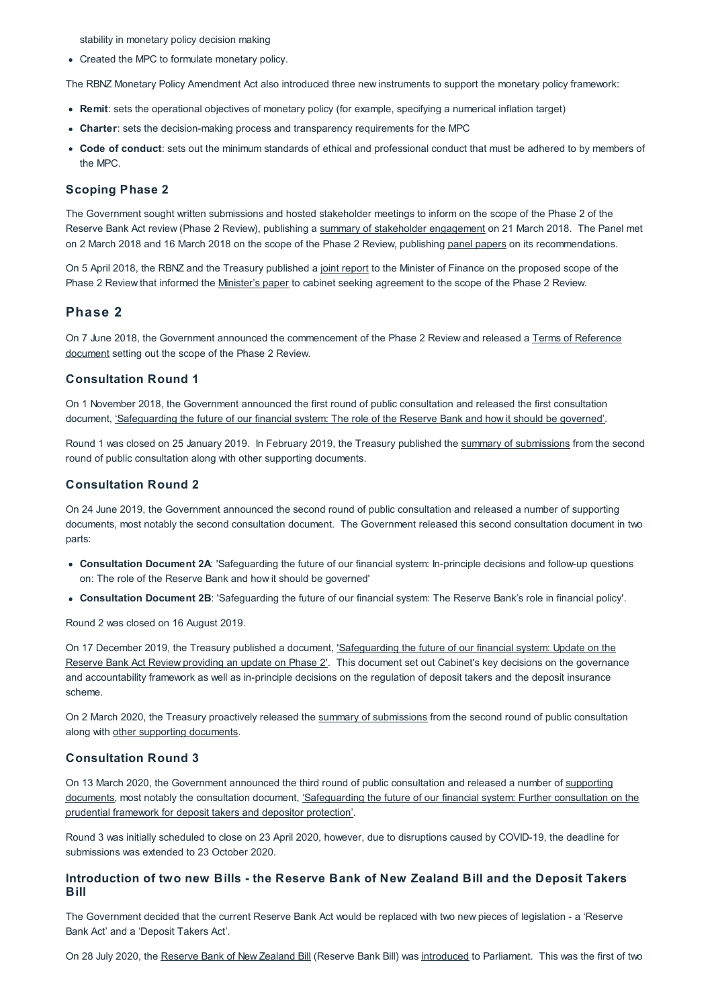stability in monetary policy decision making

Created the MPC to formulate monetary policy.

The RBNZ Monetary Policy Amendment Act also introduced three new instruments to support the monetary policy framework:

- **Remit**: sets the operational objectives of monetary policy (for example, specifying a numerical inflation target)
- **Charter**: sets the decision-making process and transparency requirements for the MPC
- **Code of conduct**: sets out the minimum standards of ethical and professional conduct that must be adhered to by members of the MPC.

#### **Scoping Phase 2**

The Government sought written submissions and hosted stakeholder meetings to inform on the scope of the Phase 2 of the Reserve Bank Act review (Phase 2 Review), publishing a summary of stakeholder [engagement](https://treasury.govt.nz/sites/default/files/2018-06/rbnz-3932366.pdf) on 21 March 2018. The Panel met on 2 March 2018 and 16 March 2018 on the scope of the Phase 2 Review, publishing panel [papers](https://treasury.govt.nz/publications/information-release/phase-1-reviewing-rbnz-act-scoping-phase-2-proactive-release) on its recommendations.

On 5 April 2018, the RBNZ and the Treasury published a joint [report](https://treasury.govt.nz/sites/default/files/2018-06/rbnz-3933708.pdf) to the Minister of Finance on the proposed scope of the Phase 2 Review that informed the [Minister's](https://treasury.govt.nz/sites/default/files/2018-06/rbnz-3942974.pdf) paper to cabinet seeking agreement to the scope of the Phase 2 Review.

### **Phase 2**

On 7 June 2018, the Government announced the [commencement](https://treasury.govt.nz/sites/default/files/2018-06/rbnz-3933712.pdf) of the Phase 2 Review and released a Terms of Reference document setting out the scope of the Phase 2 Review.

#### **Consultation Round 1**

On 1 November 2018, the Government announced the first round of public consultation and released the first consultation document, ['Safeguarding](https://treasury.govt.nz/publications/consultation/rbnz-review-safeguarding-future-financial-system-consultation-document) the future of our financial system: The role of the Reserve Bank and how it should be governed'.

Round 1 was closed on 25 January 2019. In February 2019, the Treasury published the summary of [submissions](https://treasury.govt.nz/sites/default/files/2019-03/rbnz-summary-sub-1-consultation.pdf) from the second round of public consultation along with other supporting documents.

#### **Consultation Round 2**

On 24 June 2019, the Government announced the second round of public consultation and released a number of supporting documents, most notably the second consultation document. The Government released this second consultation document in two parts:

- **Consultation Document 2A**: 'Safeguarding the future of our financial system: In-principle decisions and follow-up questions on: The role of the Reserve Bank and how it should be governed'
- **Consultation Document 2B**: 'Safeguarding the future of our financial system: The Reserve Bank's role in financial policy'.

Round 2 was closed on 16 August 2019.

On 17 December 2019, the Treasury published a document, ['Safeguarding](https://www.treasury.govt.nz/sites/default/files/2019-12/rbnz-safeguarding-future-financial-system-update-review.pdf) the future of our financial system: Update on the Reserve Bank Act Review providing an update on Phase 2'. This document set out Cabinet's key decisions on the governance and accountability framework as well as in-principle decisions on the regulation of deposit takers and the deposit insurance scheme.

On 2 March 2020, the Treasury proactively released the summary of [submissions](https://treasury.govt.nz/sites/default/files/2019-10/rbnz-summary-sub-2-consultation.pdf) from the second round of public consultation along with other supporting [documents.](https://treasury.govt.nz/publications/information-release/consultation-2-phase-2-reserve-bank-act-review-proactive-release#panelpapers-consultation-2)

### **Consultation Round 3**

On 13 March 2020, the [Government](https://treasury.govt.nz/news-and-events/reviews-consultation/reviewing-reserve-bank-act/public-consultation-and-updates/public-consultation-third-round-reserve-bank-act-review) announced the third round of public consultation and released a number of supporting documents, most notably the consultation document, ['Safeguarding](https://www.treasury.govt.nz/sites/default/files/2020-03/rbnz-further-consultation-phase-2.pdf) the future of our financial system: Further consultation on the prudential framework for deposit takers and depositor protection'.

Round 3 was initially scheduled to close on 23 April 2020, however, due to disruptions caused by COVID-19, the deadline for submissions was extended to 23 October 2020.

#### **Introduction of two new Bills - the Reserve Bank of New Zealand Bill and the Deposit Takers Bill**

The Government decided that the current Reserve Bank Act would be replaced with two new pieces of legislation - a 'Reserve Bank Act' and a 'Deposit Takers Act'.

On 28 July 2020, the [Reserve](http://legislation.govt.nz/bill/government/2020/0315/latest/LMS286978.html) Bank of New Zealand Bill (Reserve Bank Bill) was [introduced](https://www.rbnz.govt.nz/news/2020/07/introduction-of-bill-marks-exciting-new-phase-for-te-putea-matua) to Parliament. This was the first of two